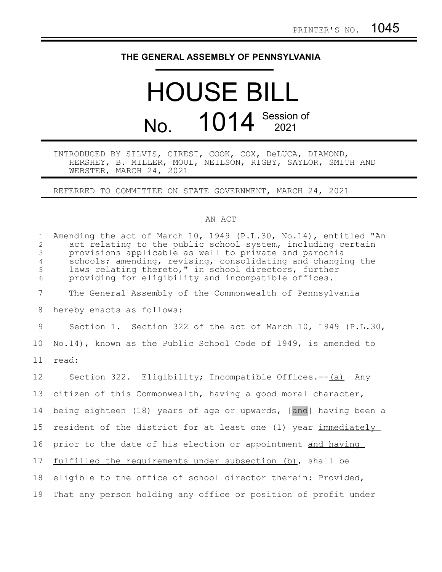## **THE GENERAL ASSEMBLY OF PENNSYLVANIA**

## HOUSE BILL No. 1014 Session of

## INTRODUCED BY SILVIS, CIRESI, COOK, COX, DeLUCA, DIAMOND, HERSHEY, B. MILLER, MOUL, NEILSON, RIGBY, SAYLOR, SMITH AND WEBSTER, MARCH 24, 2021

REFERRED TO COMMITTEE ON STATE GOVERNMENT, MARCH 24, 2021

## AN ACT

| $\mathbf{1}$<br>2<br>3<br>$\overline{4}$<br>5<br>6 | Amending the act of March 10, 1949 (P.L.30, No.14), entitled "An<br>act relating to the public school system, including certain<br>provisions applicable as well to private and parochial<br>schools; amending, revising, consolidating and changing the<br>laws relating thereto," in school directors, further<br>providing for eligibility and incompatible offices. |
|----------------------------------------------------|-------------------------------------------------------------------------------------------------------------------------------------------------------------------------------------------------------------------------------------------------------------------------------------------------------------------------------------------------------------------------|
| $7\phantom{.0}$                                    | The General Assembly of the Commonwealth of Pennsylvania                                                                                                                                                                                                                                                                                                                |
| 8                                                  | hereby enacts as follows:                                                                                                                                                                                                                                                                                                                                               |
| 9                                                  | Section 1. Section 322 of the act of March 10, 1949 (P.L.30,                                                                                                                                                                                                                                                                                                            |
| 10 <sub>o</sub>                                    | No.14), known as the Public School Code of 1949, is amended to                                                                                                                                                                                                                                                                                                          |
| 11                                                 | read:                                                                                                                                                                                                                                                                                                                                                                   |
| 12                                                 | Section 322. Eligibility; Incompatible Offices.--(a) Any                                                                                                                                                                                                                                                                                                                |
| 13                                                 | citizen of this Commonwealth, having a good moral character,                                                                                                                                                                                                                                                                                                            |
| 14                                                 | being eighteen (18) years of age or upwards, [and] having been a                                                                                                                                                                                                                                                                                                        |
| 15                                                 | resident of the district for at least one (1) year immediately                                                                                                                                                                                                                                                                                                          |
| 16                                                 | prior to the date of his election or appointment and having                                                                                                                                                                                                                                                                                                             |
| 17                                                 | fulfilled the requirements under subsection (b), shall be                                                                                                                                                                                                                                                                                                               |
| 18                                                 | eligible to the office of school director therein: Provided,                                                                                                                                                                                                                                                                                                            |
| 19                                                 | That any person holding any office or position of profit under                                                                                                                                                                                                                                                                                                          |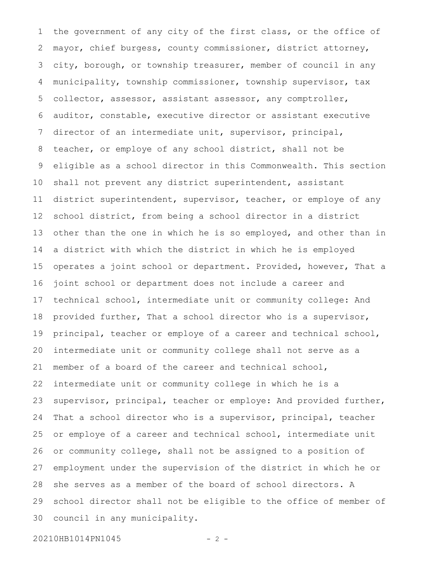the government of any city of the first class, or the office of mayor, chief burgess, county commissioner, district attorney, city, borough, or township treasurer, member of council in any municipality, township commissioner, township supervisor, tax collector, assessor, assistant assessor, any comptroller, auditor, constable, executive director or assistant executive director of an intermediate unit, supervisor, principal, teacher, or employe of any school district, shall not be eligible as a school director in this Commonwealth. This section shall not prevent any district superintendent, assistant district superintendent, supervisor, teacher, or employe of any school district, from being a school director in a district other than the one in which he is so employed, and other than in a district with which the district in which he is employed operates a joint school or department. Provided, however, That a joint school or department does not include a career and technical school, intermediate unit or community college: And provided further, That a school director who is a supervisor, principal, teacher or employe of a career and technical school, intermediate unit or community college shall not serve as a member of a board of the career and technical school, intermediate unit or community college in which he is a supervisor, principal, teacher or employe: And provided further, That a school director who is a supervisor, principal, teacher or employe of a career and technical school, intermediate unit or community college, shall not be assigned to a position of employment under the supervision of the district in which he or she serves as a member of the board of school directors. A school director shall not be eligible to the office of member of council in any municipality. 1 2 3 4 5 6 7 8 9 10 11 12 13 14 15 16 17 18 19 20 21 22 23 24 25 26 27 28 29 30

20210HB1014PN1045 - 2 -